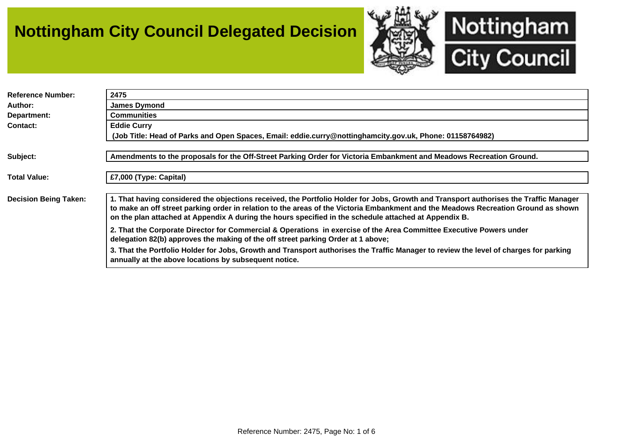## **Nottingham City Council Delegated Decision**



| <b>Reference Number:</b>     | 2475                                                                                                                                                                                                                                                                                                                                                                                 |
|------------------------------|--------------------------------------------------------------------------------------------------------------------------------------------------------------------------------------------------------------------------------------------------------------------------------------------------------------------------------------------------------------------------------------|
| Author:                      | <b>James Dymond</b>                                                                                                                                                                                                                                                                                                                                                                  |
| Department:                  | <b>Communities</b>                                                                                                                                                                                                                                                                                                                                                                   |
| Contact:                     | <b>Eddie Curry</b>                                                                                                                                                                                                                                                                                                                                                                   |
|                              | (Job Title: Head of Parks and Open Spaces, Email: eddie.curry@nottinghamcity.gov.uk, Phone: 01158764982)                                                                                                                                                                                                                                                                             |
|                              |                                                                                                                                                                                                                                                                                                                                                                                      |
| Subject:                     | Amendments to the proposals for the Off-Street Parking Order for Victoria Embankment and Meadows Recreation Ground.                                                                                                                                                                                                                                                                  |
|                              |                                                                                                                                                                                                                                                                                                                                                                                      |
| <b>Total Value:</b>          | £7,000 (Type: Capital)                                                                                                                                                                                                                                                                                                                                                               |
|                              |                                                                                                                                                                                                                                                                                                                                                                                      |
| <b>Decision Being Taken:</b> | 1. That having considered the objections received, the Portfolio Holder for Jobs, Growth and Transport authorises the Traffic Manager<br>to make an off street parking order in relation to the areas of the Victoria Embankment and the Meadows Recreation Ground as shown<br>on the plan attached at Appendix A during the hours specified in the schedule attached at Appendix B. |
|                              | 2. That the Corporate Director for Commercial & Operations in exercise of the Area Committee Executive Powers under<br>delegation 82(b) approves the making of the off street parking Order at 1 above;                                                                                                                                                                              |
|                              | 3. That the Portfolio Holder for Jobs, Growth and Transport authorises the Traffic Manager to review the level of charges for parking<br>annually at the above locations by subsequent notice.                                                                                                                                                                                       |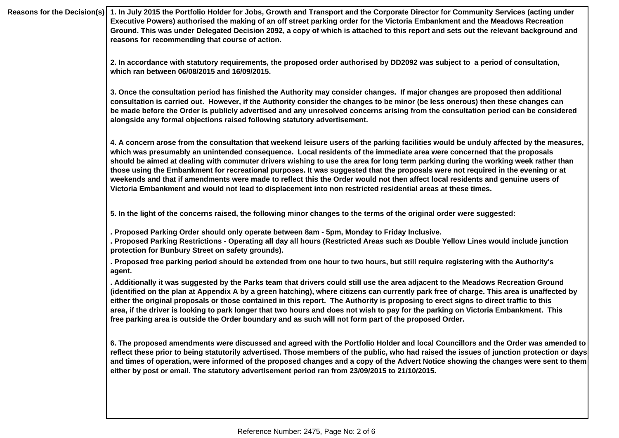|  | Reasons for the Decision(s)   1. In July 2015 the Portfolio Holder for Jobs, Growth and Transport and the Corporate Director for Community Services (acting under<br>Executive Powers) authorised the making of an off street parking order for the Victoria Embankment and the Meadows Recreation<br>Ground. This was under Delegated Decision 2092, a copy of which is attached to this report and sets out the relevant background and<br>reasons for recommending that course of action.                                                                                                                                                                                                                                                                                                   |
|--|------------------------------------------------------------------------------------------------------------------------------------------------------------------------------------------------------------------------------------------------------------------------------------------------------------------------------------------------------------------------------------------------------------------------------------------------------------------------------------------------------------------------------------------------------------------------------------------------------------------------------------------------------------------------------------------------------------------------------------------------------------------------------------------------|
|  | 2. In accordance with statutory requirements, the proposed order authorised by DD2092 was subject to a period of consultation,<br>which ran between 06/08/2015 and 16/09/2015.                                                                                                                                                                                                                                                                                                                                                                                                                                                                                                                                                                                                                 |
|  | 3. Once the consultation period has finished the Authority may consider changes. If major changes are proposed then additional<br>consultation is carried out. However, if the Authority consider the changes to be minor (be less onerous) then these changes can<br>be made before the Order is publicly advertised and any unresolved concerns arising from the consultation period can be considered<br>alongside any formal objections raised following statutory advertisement.                                                                                                                                                                                                                                                                                                          |
|  | 4. A concern arose from the consultation that weekend leisure users of the parking facilities would be unduly affected by the measures,<br>which was presumably an unintended consequence. Local residents of the immediate area were concerned that the proposals<br>should be aimed at dealing with commuter drivers wishing to use the area for long term parking during the working week rather than<br>those using the Embankment for recreational purposes. It was suggested that the proposals were not required in the evening or at<br>weekends and that if amendments were made to reflect this the Order would not then affect local residents and genuine users of<br>Victoria Embankment and would not lead to displacement into non restricted residential areas at these times. |
|  | 5. In the light of the concerns raised, the following minor changes to the terms of the original order were suggested:                                                                                                                                                                                                                                                                                                                                                                                                                                                                                                                                                                                                                                                                         |
|  | . Proposed Parking Order should only operate between 8am - 5pm, Monday to Friday Inclusive.<br>. Proposed Parking Restrictions - Operating all day all hours (Restricted Areas such as Double Yellow Lines would include junction<br>protection for Bunbury Street on safety grounds).                                                                                                                                                                                                                                                                                                                                                                                                                                                                                                         |
|  | . Proposed free parking period should be extended from one hour to two hours, but still require registering with the Authority's<br>agent.                                                                                                                                                                                                                                                                                                                                                                                                                                                                                                                                                                                                                                                     |
|  | . Additionally it was suggested by the Parks team that drivers could still use the area adjacent to the Meadows Recreation Ground<br>(identified on the plan at Appendix A by a green hatching), where citizens can currently park free of charge. This area is unaffected by<br>either the original proposals or those contained in this report. The Authority is proposing to erect signs to direct traffic to this<br>area, if the driver is looking to park longer that two hours and does not wish to pay for the parking on Victoria Embankment. This<br>free parking area is outside the Order boundary and as such will not form part of the proposed Order.                                                                                                                           |
|  | 6. The proposed amendments were discussed and agreed with the Portfolio Holder and local Councillors and the Order was amended to<br>reflect these prior to being statutorily advertised. Those members of the public, who had raised the issues of junction protection or days<br>and times of operation, were informed of the proposed changes and a copy of the Advert Notice showing the changes were sent to them<br>either by post or email. The statutory advertisement period ran from 23/09/2015 to 21/10/2015.                                                                                                                                                                                                                                                                       |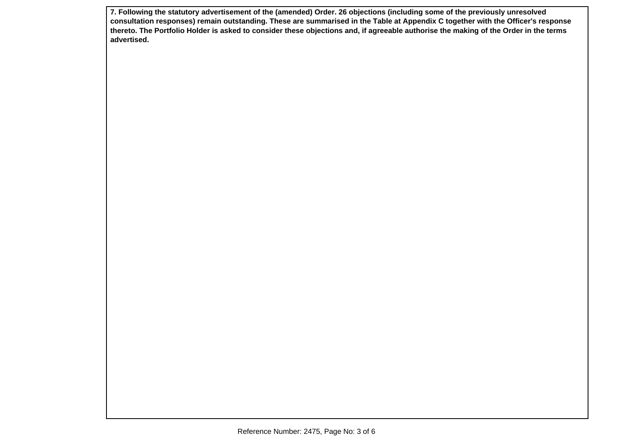**7. Following the statutory advertisement of the (amended) Order. 26 objections (including some of the previously unresolved consultation responses) remain outstanding. These are summarised in the Table at Appendix C together with the Officer's response thereto. The Portfolio Holder is asked to consider these objections and, if agreeable authorise the making of the Order in the terms advertised.**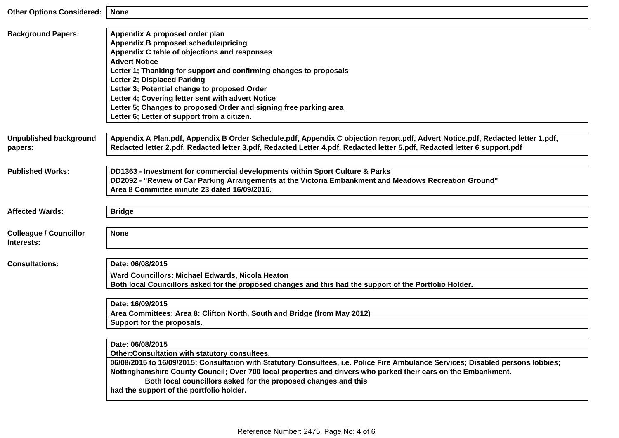| <b>Other Options Considered:</b>            | <b>None</b>                                                                                                                                                                                                                                                                                                                                                                                                                                                                                                                                                                                                                                                                                                                                            |
|---------------------------------------------|--------------------------------------------------------------------------------------------------------------------------------------------------------------------------------------------------------------------------------------------------------------------------------------------------------------------------------------------------------------------------------------------------------------------------------------------------------------------------------------------------------------------------------------------------------------------------------------------------------------------------------------------------------------------------------------------------------------------------------------------------------|
| <b>Background Papers:</b>                   | Appendix A proposed order plan<br><b>Appendix B proposed schedule/pricing</b><br>Appendix C table of objections and responses<br><b>Advert Notice</b><br>Letter 1; Thanking for support and confirming changes to proposals<br>Letter 2; Displaced Parking<br>Letter 3; Potential change to proposed Order<br>Letter 4; Covering letter sent with advert Notice<br>Letter 5; Changes to proposed Order and signing free parking area<br>Letter 6; Letter of support from a citizen.                                                                                                                                                                                                                                                                    |
| <b>Unpublished background</b><br>papers:    | Appendix A Plan.pdf, Appendix B Order Schedule.pdf, Appendix C objection report.pdf, Advert Notice.pdf, Redacted letter 1.pdf,<br>Redacted letter 2.pdf, Redacted letter 3.pdf, Redacted Letter 4.pdf, Redacted letter 5.pdf, Redacted letter 6 support.pdf                                                                                                                                                                                                                                                                                                                                                                                                                                                                                            |
| <b>Published Works:</b>                     | DD1363 - Investment for commercial developments within Sport Culture & Parks<br>DD2092 - "Review of Car Parking Arrangements at the Victoria Embankment and Meadows Recreation Ground"<br>Area 8 Committee minute 23 dated 16/09/2016.                                                                                                                                                                                                                                                                                                                                                                                                                                                                                                                 |
| <b>Affected Wards:</b>                      | <b>Bridge</b>                                                                                                                                                                                                                                                                                                                                                                                                                                                                                                                                                                                                                                                                                                                                          |
| <b>Colleague / Councillor</b><br>Interests: | <b>None</b>                                                                                                                                                                                                                                                                                                                                                                                                                                                                                                                                                                                                                                                                                                                                            |
| <b>Consultations:</b>                       | Date: 06/08/2015<br>Ward Councillors: Michael Edwards, Nicola Heaton<br>Both local Councillors asked for the proposed changes and this had the support of the Portfolio Holder.<br>Date: 16/09/2015<br>Area Committees: Area 8: Clifton North, South and Bridge (from May 2012)<br>Support for the proposals.<br>Date: 06/08/2015<br>Other:Consultation with statutory consultees.<br>06/08/2015 to 16/09/2015: Consultation with Statutory Consultees, i.e. Police Fire Ambulance Services; Disabled persons lobbies;<br>Nottinghamshire County Council; Over 700 local properties and drivers who parked their cars on the Embankment.<br>Both local councillors asked for the proposed changes and this<br>had the support of the portfolio holder. |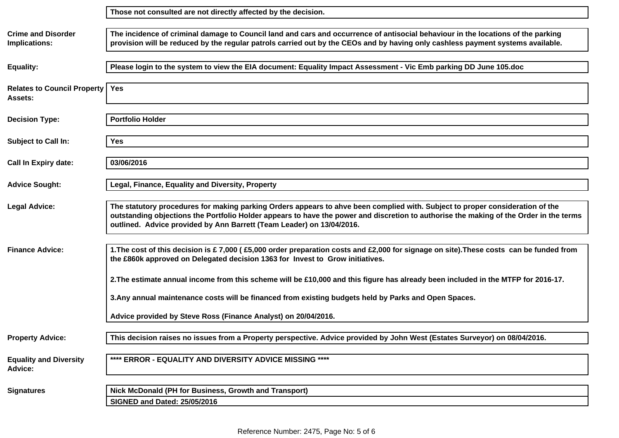| <b>Crime and Disorder</b><br>Implications:      | The incidence of criminal damage to Council land and cars and occurrence of antisocial behaviour in the locations of the parking<br>provision will be reduced by the regular patrols carried out by the CEOs and by having only cashless payment systems available.                                                                              |
|-------------------------------------------------|--------------------------------------------------------------------------------------------------------------------------------------------------------------------------------------------------------------------------------------------------------------------------------------------------------------------------------------------------|
| <b>Equality:</b>                                | Please login to the system to view the EIA document: Equality Impact Assessment - Vic Emb parking DD June 105.doc                                                                                                                                                                                                                                |
| <b>Relates to Council Property</b><br>Assets:   | <b>Yes</b>                                                                                                                                                                                                                                                                                                                                       |
| <b>Decision Type:</b>                           | <b>Portfolio Holder</b>                                                                                                                                                                                                                                                                                                                          |
| <b>Subject to Call In:</b>                      | <b>Yes</b>                                                                                                                                                                                                                                                                                                                                       |
| <b>Call In Expiry date:</b>                     | 03/06/2016                                                                                                                                                                                                                                                                                                                                       |
| <b>Advice Sought:</b>                           | Legal, Finance, Equality and Diversity, Property                                                                                                                                                                                                                                                                                                 |
| <b>Legal Advice:</b>                            | The statutory procedures for making parking Orders appears to ahve been complied with. Subject to proper consideration of the<br>outstanding objections the Portfolio Holder appears to have the power and discretion to authorise the making of the Order in the terms<br>outlined. Advice provided by Ann Barrett (Team Leader) on 13/04/2016. |
| <b>Finance Advice:</b>                          | 1. The cost of this decision is £7,000 (£5,000 order preparation costs and £2,000 for signage on site). These costs can be funded from<br>the £860k approved on Delegated decision 1363 for Invest to Grow initiatives.                                                                                                                          |
|                                                 | 2. The estimate annual income from this scheme will be £10,000 and this figure has already been included in the MTFP for 2016-17.                                                                                                                                                                                                                |
|                                                 | 3. Any annual maintenance costs will be financed from existing budgets held by Parks and Open Spaces.                                                                                                                                                                                                                                            |
|                                                 | Advice provided by Steve Ross (Finance Analyst) on 20/04/2016.                                                                                                                                                                                                                                                                                   |
| <b>Property Advice:</b>                         | This decision raises no issues from a Property perspective. Advice provided by John West (Estates Surveyor) on 08/04/2016.                                                                                                                                                                                                                       |
| <b>Equality and Diversity</b><br><b>Advice:</b> | **** ERROR - EQUALITY AND DIVERSITY ADVICE MISSING ****                                                                                                                                                                                                                                                                                          |
| <b>Signatures</b>                               | Nick McDonald (PH for Business, Growth and Transport)                                                                                                                                                                                                                                                                                            |
|                                                 | <b>SIGNED and Dated: 25/05/2016</b>                                                                                                                                                                                                                                                                                                              |